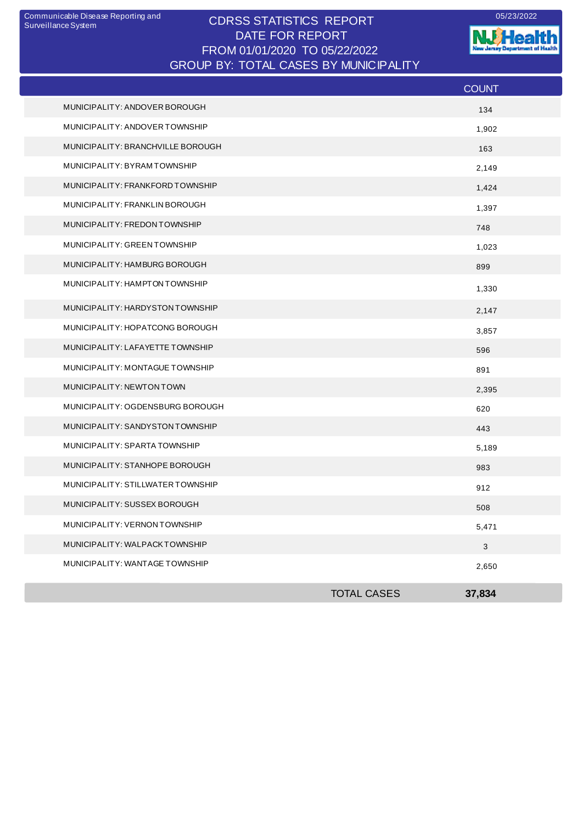## CDRSS STATISTICS REPORT Communicable Disease Reporting and 05/23/2022 DATE FOR REPORT FROM 01/01/2020 TO 05/22/2022 GROUP BY: TOTAL CASES BY MUNICIPALITY

**W**Health Jersey Departm est of Health

|                                   |                    | <b>COUNT</b> |
|-----------------------------------|--------------------|--------------|
| MUNICIPALITY: ANDOVER BOROUGH     |                    | 134          |
| MUNICIPALITY: ANDOVER TOWNSHIP    |                    | 1,902        |
| MUNICIPALITY: BRANCHVILLE BOROUGH |                    | 163          |
| MUNICIPALITY: BYRAMTOWNSHIP       |                    | 2,149        |
| MUNICIPALITY: FRANKFORD TOWNSHIP  |                    | 1,424        |
| MUNICIPALITY: FRANKLIN BOROUGH    |                    | 1,397        |
| MUNICIPALITY: FREDON TOWNSHIP     |                    | 748          |
| MUNICIPALITY: GREEN TOWNSHIP      |                    | 1,023        |
| MUNICIPALITY: HAMBURG BOROUGH     |                    | 899          |
| MUNICIPALITY: HAMPTON TOWNSHIP    |                    | 1,330        |
| MUNICIPALITY: HARDYSTON TOWNSHIP  |                    | 2,147        |
| MUNICIPALITY: HOPATCONG BOROUGH   |                    | 3,857        |
| MUNICIPALITY: LAFAYETTE TOWNSHIP  |                    | 596          |
| MUNICIPALITY: MONTAGUE TOWNSHIP   |                    | 891          |
| MUNICIPALITY: NEWTON TOWN         |                    | 2,395        |
| MUNICIPALITY: OGDENSBURG BOROUGH  |                    | 620          |
| MUNICIPALITY: SANDYSTON TOWNSHIP  |                    | 443          |
| MUNICIPALITY: SPARTA TOWNSHIP     |                    | 5,189        |
| MUNICIPALITY: STANHOPE BOROUGH    |                    | 983          |
| MUNICIPALITY: STILLWATER TOWNSHIP |                    | 912          |
| MUNICIPALITY: SUSSEX BOROUGH      |                    | 508          |
| MUNICIPALITY: VERNON TOWNSHIP     |                    | 5,471        |
| MUNICIPALITY: WALPACKTOWNSHIP     |                    | $\mathbf{3}$ |
| MUNICIPALITY: WANTAGE TOWNSHIP    |                    | 2,650        |
|                                   | <b>TOTAL CASES</b> | 37,834       |